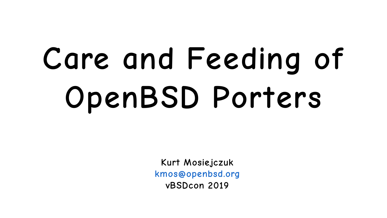# **Care and Feeding of OpenBSD Porters**

**Kurt Mosiejczuk [kmos@openbsd.org](mailto:kmos@openbsd.org) vBSDcon 2019**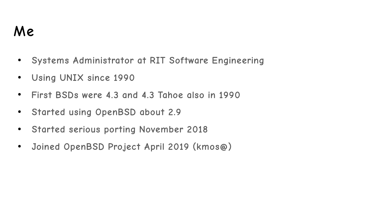# **Me**

- **Systems Administrator at RIT Software Engineering**
- **Using UNIX since 1990**
- **First BSDs were 4.3 and 4.3 Tahoe also in 1990**
- **Started using OpenBSD about 2.9**
- **Started serious porting November 2018**
- **Joined OpenBSD Project April 2019 (kmos@)**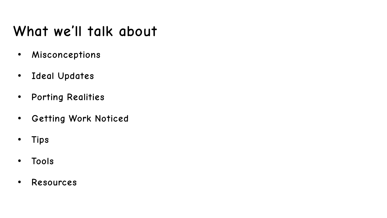# **What we'll talk about**

- **Misconceptions**
- **Ideal Updates**
- **Porting Realities**
- **Getting Work Noticed**
- **Tips**
- **Tools**
- **Resources**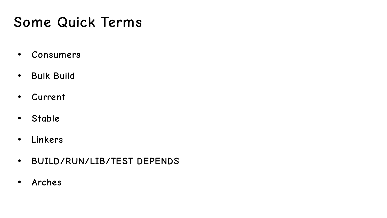# **Some Quick Terms**

- **Consumers**
- **Bulk Build**
- **Current**
- **Stable**
- **Linkers**
- **BUILD/RUN/LIB/TEST DEPENDS**
- **Arches**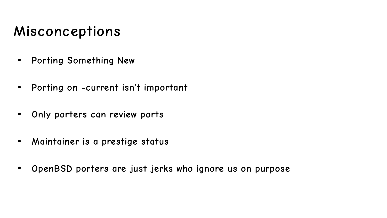# **Misconceptions**

- **Porting Something New**
- **Porting on -current isn't important**
- **Only porters can review ports**
- **Maintainer is a prestige status**
- **OpenBSD porters are just jerks who ignore us on purpose**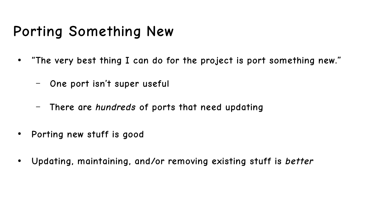# **Porting Something New**

- **"The very best thing I can do for the project is port something new."**
	- **One port isn't super useful**
	- **There are hundreds of ports that need updating**
- **Porting new stuff is good**
- **Updating, maintaining, and/or removing existing stuff is better**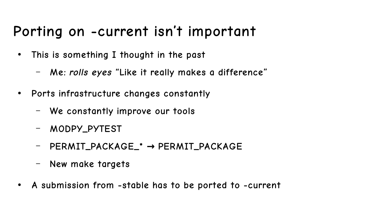# **Porting on -current isn't important**

- **This is something I thought in the past**
	- **Me: rolls eyes "Like it really makes a difference"**
- **Ports infrastructure changes constantly**
	- **We constantly improve our tools**
	- **MODPY\_PYTEST**
	- **PERMIT\_PACKAGE\_\* PERMIT\_PACKAGE →**
	- **New make targets**
- **A submission from -stable has to be ported to -current**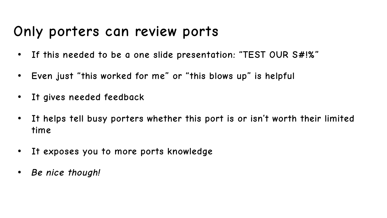#### **Only porters can review ports**

- **If this needed to be a one slide presentation: "TEST OUR S#!%"**
- **Even just "this worked for me" or "this blows up" is helpful**
- **It gives needed feedback**
- **It helps tell busy porters whether this port is or isn't worth their limited time**
- **It exposes you to more ports knowledge**
- **Be nice though!**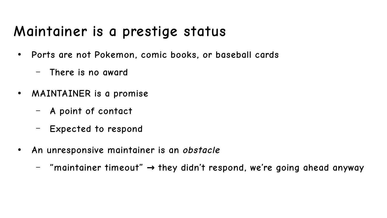# **Maintainer is a prestige status**

- **Ports are not Pokemon, comic books, or baseball cards**
	- **There is no award**
- **MAINTAINER is a promise**
	- **A point of contact**
	- **Expected to respond**
- **An unresponsive maintainer is an obstacle**
	- $\blacksquare$  **"maintainer timeout"**  $\rightarrow$  **they didn't respond, we're going ahead anyway**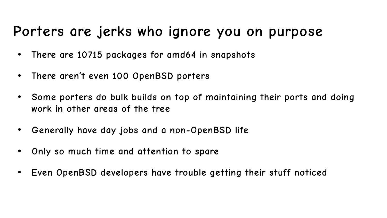#### **Porters are jerks who ignore you on purpose**

- **There are 10715 packages for amd64 in snapshots**
- **There aren't even 100 OpenBSD porters**
- Some porters do bulk builds on top of maintaining their ports and doing **work in other areas of the tree**
- Generally have day jobs and a non-OpenBSD life
- **Only so much time and attention to spare**
- **Even OpenBSD developers have trouble getting their stuff noticed**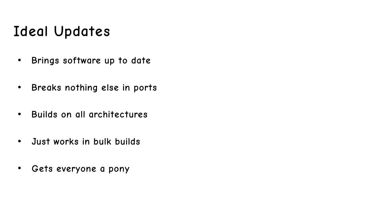# **Ideal Updates**

- **Brings software up to date**
- **Breaks nothing else in ports**
- **Builds on all architectures**
- **Just works in bulk builds**
- **Gets everyone a pony**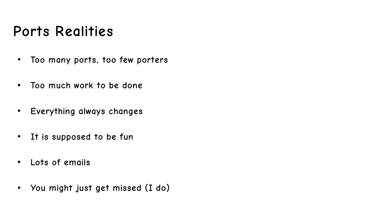# **Ports Realities**

- **Too many ports, too few porters**
- **Too much work to be done**
- **Everything always changes**
- **It is supposed to be fun**
- **Lots of emails**
- **You might just get missed (I do)**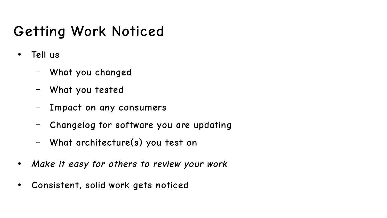# **Getting Work Noticed**

- **Tell us**
	- **What you changed**
	- **What you tested**
	- **Impact on any consumers**
	- **Changelog for software you are updating**
	- **What architecture(s) you test on**
- **Make it easy for others to review your work**
- **Consistent, solid work gets noticed**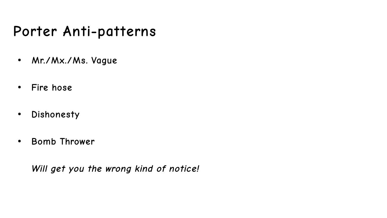#### **Porter Anti-patterns**

- **Mr./Mx./Ms. Vague**
- **Fire hose**
- **Dishonesty**
- **Bomb Thrower**

**Will get you the wrong kind of notice!**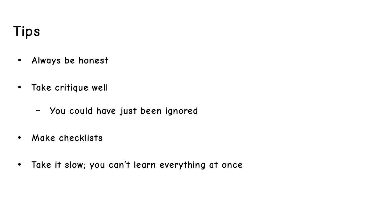# **Tips**

- **Always be honest**
- **Take critique well**
	- **You could have just been ignored**
- **Make checklists**
- **Take it slow; you can't learn everything at once**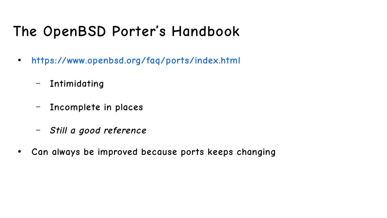# **The OpenBSD Porter's Handbook**

- **<https://www.openbsd.org/faq/ports/index.html>**
	- **Intimidating**
	- **Incomplete in places**
	- **Still a good reference**
- **Can always be improved because ports keeps changing**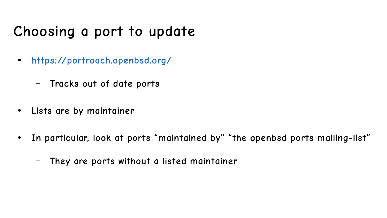# **Choosing a port to update**

- **<https://portroach.openbsd.org/>**
	- **Tracks out of date ports**
- **Lists are by maintainer**
- **In particular, look at ports "maintained by" "the openbsd ports mailing-list"**
	- **They are ports without a listed maintainer**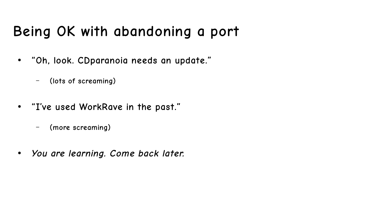# **Being OK with abandoning a port**

- **"Oh, look. CDparanoia needs an update."**
	- **(lots of screaming)**
- **"I've used WorkRave in the past."**
	- **(more screaming)**
- **You are learning. Come back later.**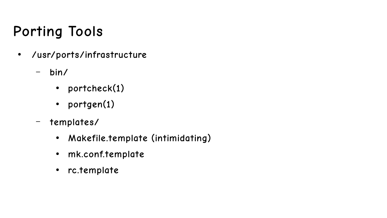# **Porting Tools**

- **/usr/ports/infrastructure**
	- **bin/** 
		- **portcheck(1)**
		- **portgen(1)**
	- **templates/**
		- **Makefile.template (intimidating)**
		- **mk.conf.template**
		- **rc.template**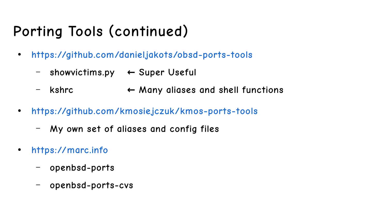# **Porting Tools (continued)**

- **<https://github.com/danieljakots/obsd-ports-tools>**
	- **showvictims.py ← Super Useful**
	- **kshrc ← Many aliases and shell functions**
- **<https://github.com/kmosiejczuk/kmos-ports-tools>**
	- **My own set of aliases and config files**
- **[https://marc.info](https://marc.info/)**
	- **openbsd-ports**
	- **openbsd-ports-cvs**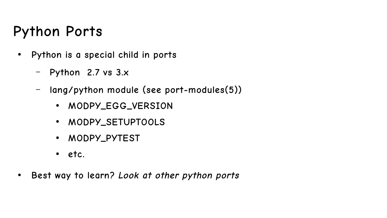## **Python Ports**

- **Python is a special child in ports**
	- **Python 2.7 vs 3.x**
	- **lang/python module (see port-modules(5))**
		- MODPY EGG VERSION
		- **MODPY\_SETUPTOOLS**
		- **MODPY\_PYTEST**
		- **etc.**
- **Best way to learn? Look at other python ports**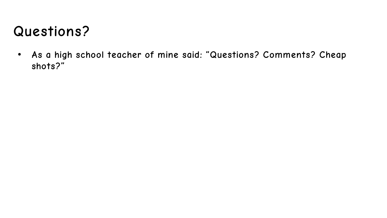# **Questions?**

● **As a high school teacher of mine said: "Questions? Comments? Cheap shots?"**